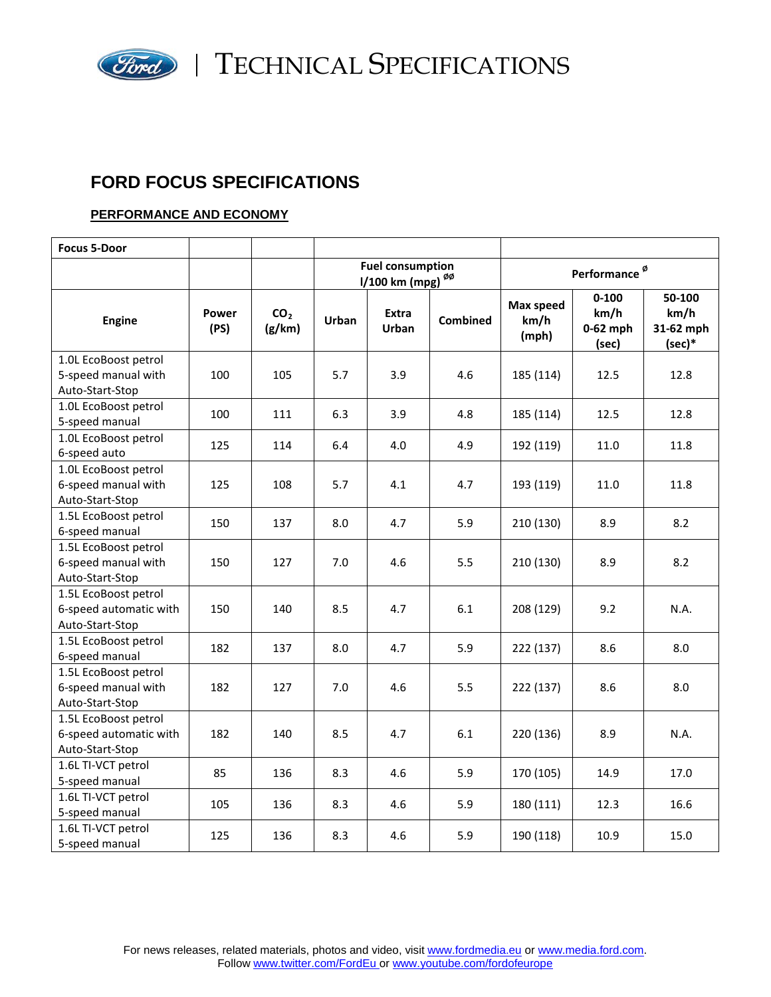

**Ford** | TECHNICAL SPECIFICATIONS

# **FORD FOCUS SPECIFICATIONS**

### **PERFORMANCE AND ECONOMY**

| <b>Focus 5-Door</b>                                               |               |                           |                                                                              |                       |                 |                                   |                                          |                                       |
|-------------------------------------------------------------------|---------------|---------------------------|------------------------------------------------------------------------------|-----------------------|-----------------|-----------------------------------|------------------------------------------|---------------------------------------|
|                                                                   |               |                           | <b>Fuel consumption</b><br>$1/100$ km (mpg) <sup><math>\phi\phi</math></sup> |                       |                 |                                   | Performance <sup>ø</sup>                 |                                       |
| <b>Engine</b>                                                     | Power<br>(PS) | CO <sub>2</sub><br>(g/km) | <b>Urban</b>                                                                 | Extra<br><b>Urban</b> | <b>Combined</b> | <b>Max speed</b><br>km/h<br>(mph) | $0 - 100$<br>km/h<br>$0-62$ mph<br>(sec) | 50-100<br>km/h<br>31-62 mph<br>(sec)* |
| 1.0L EcoBoost petrol<br>5-speed manual with<br>Auto-Start-Stop    | 100           | 105                       | 5.7                                                                          | 3.9                   | 4.6             | 185 (114)                         | 12.5                                     | 12.8                                  |
| 1.0L EcoBoost petrol<br>5-speed manual                            | 100           | 111                       | 6.3                                                                          | 3.9                   | 4.8             | 185 (114)                         | 12.5                                     | 12.8                                  |
| 1.0L EcoBoost petrol<br>6-speed auto                              | 125           | 114                       | 6.4                                                                          | 4.0                   | 4.9             | 192 (119)                         | 11.0                                     | 11.8                                  |
| 1.0L EcoBoost petrol<br>6-speed manual with<br>Auto-Start-Stop    | 125           | 108                       | 5.7                                                                          | 4.1                   | 4.7             | 193 (119)                         | 11.0                                     | 11.8                                  |
| 1.5L EcoBoost petrol<br>6-speed manual                            | 150           | 137                       | 8.0                                                                          | 4.7                   | 5.9             | 210 (130)                         | 8.9                                      | 8.2                                   |
| 1.5L EcoBoost petrol<br>6-speed manual with<br>Auto-Start-Stop    | 150           | 127                       | 7.0                                                                          | 4.6                   | 5.5             | 210 (130)                         | 8.9                                      | 8.2                                   |
| 1.5L EcoBoost petrol<br>6-speed automatic with<br>Auto-Start-Stop | 150           | 140                       | 8.5                                                                          | 4.7                   | 6.1             | 208 (129)                         | 9.2                                      | N.A.                                  |
| 1.5L EcoBoost petrol<br>6-speed manual                            | 182           | 137                       | 8.0                                                                          | 4.7                   | 5.9             | 222 (137)                         | 8.6                                      | 8.0                                   |
| 1.5L EcoBoost petrol<br>6-speed manual with<br>Auto-Start-Stop    | 182           | 127                       | 7.0                                                                          | 4.6                   | 5.5             | 222 (137)                         | 8.6                                      | 8.0                                   |
| 1.5L EcoBoost petrol<br>6-speed automatic with<br>Auto-Start-Stop | 182           | 140                       | 8.5                                                                          | 4.7                   | 6.1             | 220 (136)                         | 8.9                                      | N.A.                                  |
| 1.6L TI-VCT petrol<br>5-speed manual                              | 85            | 136                       | 8.3                                                                          | 4.6                   | 5.9             | 170 (105)                         | 14.9                                     | 17.0                                  |
| 1.6L TI-VCT petrol<br>5-speed manual                              | 105           | 136                       | 8.3                                                                          | 4.6                   | 5.9             | 180 (111)                         | 12.3                                     | 16.6                                  |
| 1.6L TI-VCT petrol<br>5-speed manual                              | 125           | 136                       | 8.3                                                                          | 4.6                   | 5.9             | 190 (118)                         | 10.9                                     | 15.0                                  |

For news releases, related materials, photos and video, visit [www.fordmedia.eu](http://www.fordmedia.eu/) or [www.media.ford.com.](http://www.media.ford.com/) Follow [www.twitter.com/FordEu](http://www.twitter.com/FordEu) or [www.youtube.com/fordofeurope](http://www.youtube.com/fordofeurope)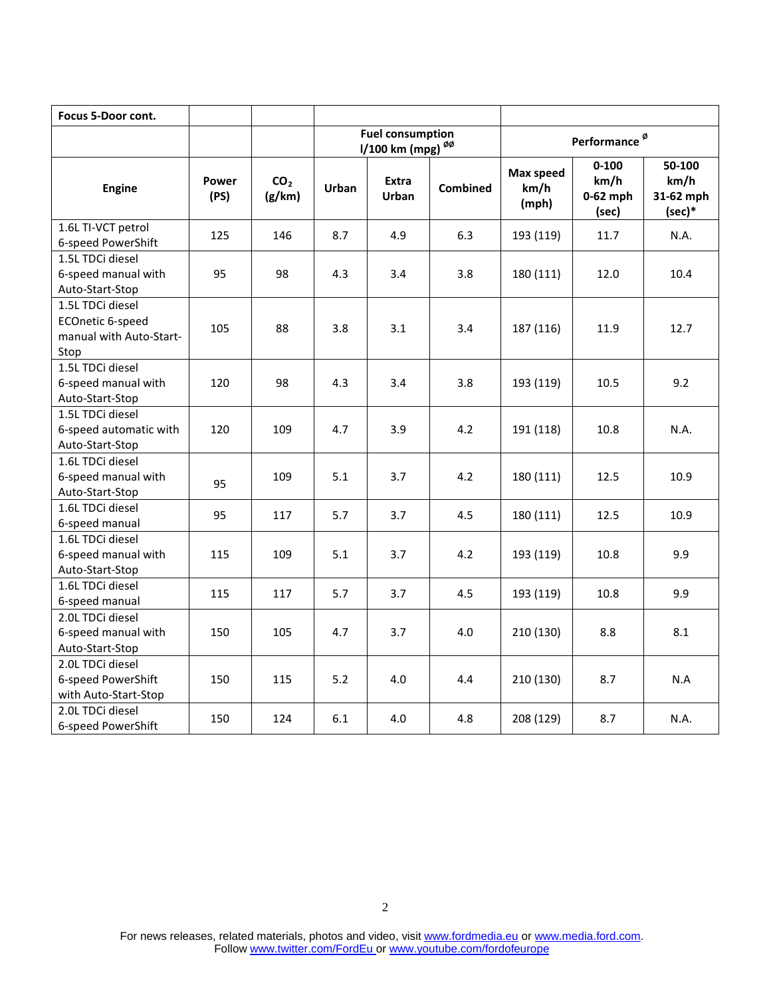| <b>Focus 5-Door cont.</b>                                               |               |                           |                                                         |                |                 |                            |                                          |                                         |
|-------------------------------------------------------------------------|---------------|---------------------------|---------------------------------------------------------|----------------|-----------------|----------------------------|------------------------------------------|-----------------------------------------|
|                                                                         |               |                           | <b>Fuel consumption</b><br>1/100 km (mpg) <sup>00</sup> |                |                 |                            | Performance <sup>ø</sup>                 |                                         |
| <b>Engine</b>                                                           | Power<br>(PS) | CO <sub>2</sub><br>(g/km) | Urban                                                   | Extra<br>Urban | <b>Combined</b> | Max speed<br>km/h<br>(mph) | $0 - 100$<br>km/h<br>$0-62$ mph<br>(sec) | 50-100<br>km/h<br>31-62 mph<br>$(sec)*$ |
| 1.6L TI-VCT petrol<br>6-speed PowerShift                                | 125           | 146                       | 8.7                                                     | 4.9            | 6.3             | 193 (119)                  | 11.7                                     | N.A.                                    |
| 1.5L TDCi diesel<br>6-speed manual with<br>Auto-Start-Stop              | 95            | 98                        | 4.3                                                     | 3.4            | 3.8             | 180 (111)                  | 12.0                                     | 10.4                                    |
| 1.5L TDCi diesel<br>ECOnetic 6-speed<br>manual with Auto-Start-<br>Stop | 105           | 88                        | 3.8                                                     | 3.1            | 3.4             | 187 (116)                  | 11.9                                     | 12.7                                    |
| 1.5L TDCi diesel<br>6-speed manual with<br>Auto-Start-Stop              | 120           | 98                        | 4.3                                                     | 3.4            | 3.8             | 193 (119)                  | 10.5                                     | 9.2                                     |
| 1.5L TDCi diesel<br>6-speed automatic with<br>Auto-Start-Stop           | 120           | 109                       | 4.7                                                     | 3.9            | 4.2             | 191 (118)                  | 10.8                                     | N.A.                                    |
| 1.6L TDCi diesel<br>6-speed manual with<br>Auto-Start-Stop              | 95            | 109                       | 5.1                                                     | 3.7            | 4.2             | 180 (111)                  | 12.5                                     | 10.9                                    |
| 1.6L TDCi diesel<br>6-speed manual                                      | 95            | 117                       | 5.7                                                     | 3.7            | 4.5             | 180 (111)                  | 12.5                                     | 10.9                                    |
| 1.6L TDCi diesel<br>6-speed manual with<br>Auto-Start-Stop              | 115           | 109                       | 5.1                                                     | 3.7            | 4.2             | 193 (119)                  | 10.8                                     | 9.9                                     |
| 1.6L TDCi diesel<br>6-speed manual                                      | 115           | 117                       | 5.7                                                     | 3.7            | 4.5             | 193 (119)                  | 10.8                                     | 9.9                                     |
| 2.0L TDCi diesel<br>6-speed manual with<br>Auto-Start-Stop              | 150           | 105                       | 4.7                                                     | 3.7            | 4.0             | 210 (130)                  | 8.8                                      | 8.1                                     |
| 2.0L TDCi diesel<br>6-speed PowerShift<br>with Auto-Start-Stop          | 150           | 115                       | 5.2                                                     | 4.0            | 4.4             | 210 (130)                  | 8.7                                      | N.A                                     |
| 2.0L TDCi diesel<br>6-speed PowerShift                                  | 150           | 124                       | 6.1                                                     | 4.0            | 4.8             | 208 (129)                  | 8.7                                      | N.A.                                    |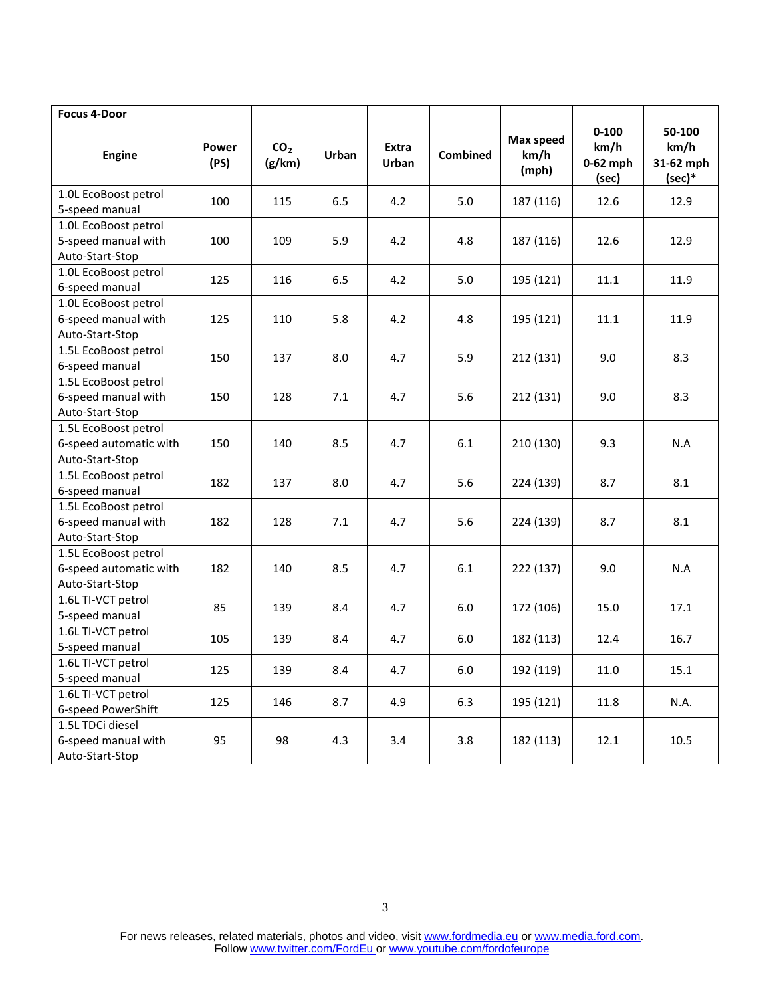| <b>Focus 4-Door</b>                                               |               |                           |         |                       |                 |                            |                                          |                                         |
|-------------------------------------------------------------------|---------------|---------------------------|---------|-----------------------|-----------------|----------------------------|------------------------------------------|-----------------------------------------|
| <b>Engine</b>                                                     | Power<br>(PS) | CO <sub>2</sub><br>(g/km) | Urban   | Extra<br><b>Urban</b> | <b>Combined</b> | Max speed<br>km/h<br>(mph) | $0 - 100$<br>km/h<br>$0-62$ mph<br>(sec) | 50-100<br>km/h<br>31-62 mph<br>$(sec)*$ |
| 1.0L EcoBoost petrol<br>5-speed manual                            | 100           | 115                       | 6.5     | 4.2                   | 5.0             | 187 (116)                  | 12.6                                     | 12.9                                    |
| 1.0L EcoBoost petrol<br>5-speed manual with<br>Auto-Start-Stop    | 100           | 109                       | 5.9     | 4.2                   | 4.8             | 187 (116)                  | 12.6                                     | 12.9                                    |
| 1.0L EcoBoost petrol<br>6-speed manual                            | 125           | 116                       | 6.5     | 4.2                   | 5.0             | 195 (121)                  | 11.1                                     | 11.9                                    |
| 1.0L EcoBoost petrol<br>6-speed manual with<br>Auto-Start-Stop    | 125           | 110                       | 5.8     | 4.2                   | 4.8             | 195 (121)                  | 11.1                                     | 11.9                                    |
| 1.5L EcoBoost petrol<br>6-speed manual                            | 150           | 137                       | 8.0     | 4.7                   | 5.9             | 212 (131)                  | 9.0                                      | 8.3                                     |
| 1.5L EcoBoost petrol<br>6-speed manual with<br>Auto-Start-Stop    | 150           | 128                       | 7.1     | 4.7                   | 5.6             | 212 (131)                  | 9.0                                      | 8.3                                     |
| 1.5L EcoBoost petrol<br>6-speed automatic with<br>Auto-Start-Stop | 150           | 140                       | 8.5     | 4.7                   | 6.1             | 210 (130)                  | 9.3                                      | N.A                                     |
| 1.5L EcoBoost petrol<br>6-speed manual                            | 182           | 137                       | 8.0     | 4.7                   | 5.6             | 224 (139)                  | 8.7                                      | 8.1                                     |
| 1.5L EcoBoost petrol<br>6-speed manual with<br>Auto-Start-Stop    | 182           | 128                       | $7.1\,$ | 4.7                   | 5.6             | 224 (139)                  | 8.7                                      | 8.1                                     |
| 1.5L EcoBoost petrol<br>6-speed automatic with<br>Auto-Start-Stop | 182           | 140                       | 8.5     | 4.7                   | 6.1             | 222 (137)                  | 9.0                                      | N.A                                     |
| 1.6L TI-VCT petrol<br>5-speed manual                              | 85            | 139                       | 8.4     | 4.7                   | 6.0             | 172 (106)                  | 15.0                                     | 17.1                                    |
| 1.6L TI-VCT petrol<br>5-speed manual                              | 105           | 139                       | 8.4     | 4.7                   | 6.0             | 182 (113)                  | 12.4                                     | 16.7                                    |
| 1.6L TI-VCT petrol<br>5-speed manual                              | 125           | 139                       | $8.4\,$ | 4.7                   | $6.0\,$         | 192 (119)                  | $11.0\,$                                 | $15.1\,$                                |
| 1.6L TI-VCT petrol<br>6-speed PowerShift                          | 125           | 146                       | 8.7     | 4.9                   | 6.3             | 195 (121)                  | 11.8                                     | N.A.                                    |
| 1.5L TDCi diesel<br>6-speed manual with<br>Auto-Start-Stop        | 95            | 98                        | 4.3     | 3.4                   | 3.8             | 182 (113)                  | 12.1                                     | 10.5                                    |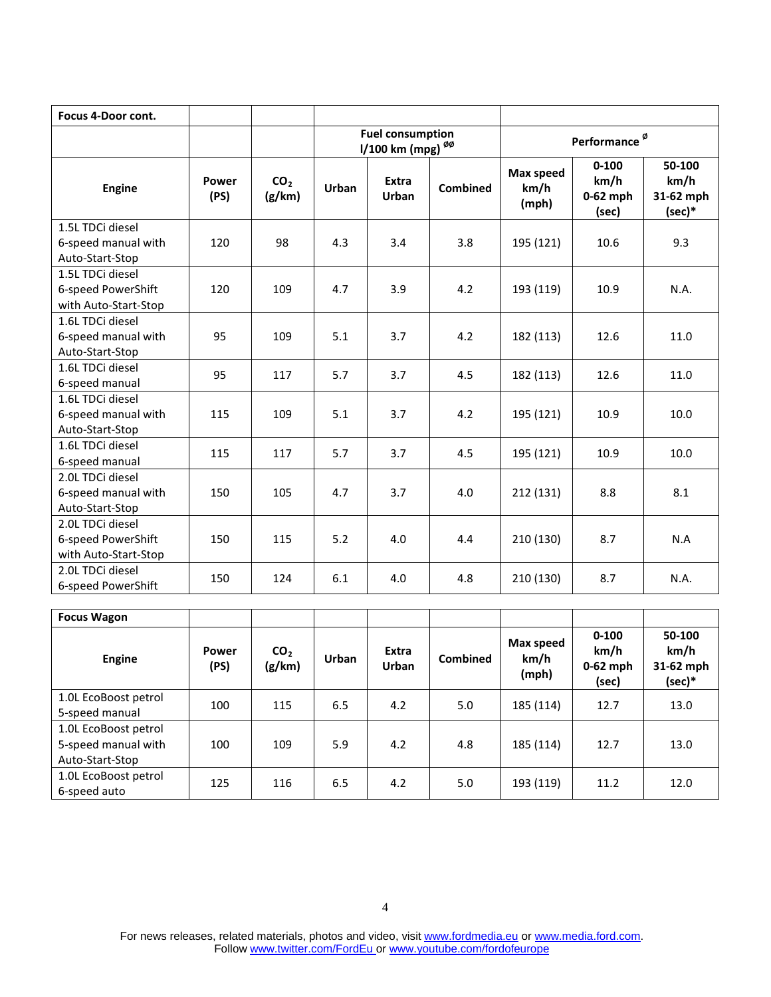| <b>Focus 4-Door cont.</b>                                      |               |                           |       |                                                         |                 |                                   |                                          |                                       |
|----------------------------------------------------------------|---------------|---------------------------|-------|---------------------------------------------------------|-----------------|-----------------------------------|------------------------------------------|---------------------------------------|
|                                                                |               |                           |       | <b>Fuel consumption</b><br>1/100 km (mpg) <sup>ØØ</sup> |                 | Performance <sup>Ø</sup>          |                                          |                                       |
| <b>Engine</b>                                                  | Power<br>(PS) | CO <sub>2</sub><br>(g/km) | Urban | Extra<br><b>Urban</b>                                   | <b>Combined</b> | <b>Max speed</b><br>km/h<br>(mph) | $0 - 100$<br>km/h<br>$0-62$ mph<br>(sec) | 50-100<br>km/h<br>31-62 mph<br>(sec)* |
| 1.5L TDCi diesel<br>6-speed manual with<br>Auto-Start-Stop     | 120           | 98                        | 4.3   | 3.4                                                     | 3.8             | 195 (121)                         | 10.6                                     | 9.3                                   |
| 1.5L TDCi diesel<br>6-speed PowerShift<br>with Auto-Start-Stop | 120           | 109                       | 4.7   | 3.9                                                     | 4.2             | 193 (119)                         | 10.9                                     | N.A.                                  |
| 1.6L TDCi diesel<br>6-speed manual with<br>Auto-Start-Stop     | 95            | 109                       | 5.1   | 3.7                                                     | 4.2             | 182 (113)                         | 12.6                                     | 11.0                                  |
| 1.6L TDCi diesel<br>6-speed manual                             | 95            | 117                       | 5.7   | 3.7                                                     | 4.5             | 182 (113)                         | 12.6                                     | 11.0                                  |
| 1.6L TDCi diesel<br>6-speed manual with<br>Auto-Start-Stop     | 115           | 109                       | 5.1   | 3.7                                                     | 4.2             | 195 (121)                         | 10.9                                     | 10.0                                  |
| 1.6L TDCi diesel<br>6-speed manual                             | 115           | 117                       | 5.7   | 3.7                                                     | 4.5             | 195 (121)                         | 10.9                                     | 10.0                                  |
| 2.0L TDCi diesel<br>6-speed manual with<br>Auto-Start-Stop     | 150           | 105                       | 4.7   | 3.7                                                     | 4.0             | 212 (131)                         | 8.8                                      | 8.1                                   |
| 2.0L TDCi diesel<br>6-speed PowerShift<br>with Auto-Start-Stop | 150           | 115                       | 5.2   | 4.0                                                     | 4.4             | 210 (130)                         | 8.7                                      | N.A                                   |
| 2.0L TDCi diesel<br>6-speed PowerShift                         | 150           | 124                       | 6.1   | 4.0                                                     | 4.8             | 210 (130)                         | 8.7                                      | N.A.                                  |

| <b>Focus Wagon</b>                                             |               |                           |       |                |                 |                            |                                          |                                         |
|----------------------------------------------------------------|---------------|---------------------------|-------|----------------|-----------------|----------------------------|------------------------------------------|-----------------------------------------|
| Engine                                                         | Power<br>(PS) | CO <sub>2</sub><br>(g/km) | Urban | Extra<br>Urban | <b>Combined</b> | Max speed<br>km/h<br>(mph) | $0 - 100$<br>km/h<br>$0-62$ mph<br>(sec) | 50-100<br>km/h<br>31-62 mph<br>$(sec)*$ |
| 1.0L EcoBoost petrol<br>5-speed manual                         | 100           | 115                       | 6.5   | 4.2            | 5.0             | 185 (114)                  | 12.7                                     | 13.0                                    |
| 1.0L EcoBoost petrol<br>5-speed manual with<br>Auto-Start-Stop | 100           | 109                       | 5.9   | 4.2            | 4.8             | 185 (114)                  | 12.7                                     | 13.0                                    |
| 1.0L EcoBoost petrol<br>6-speed auto                           | 125           | 116                       | 6.5   | 4.2            | 5.0             | 193 (119)                  | 11.2                                     | 12.0                                    |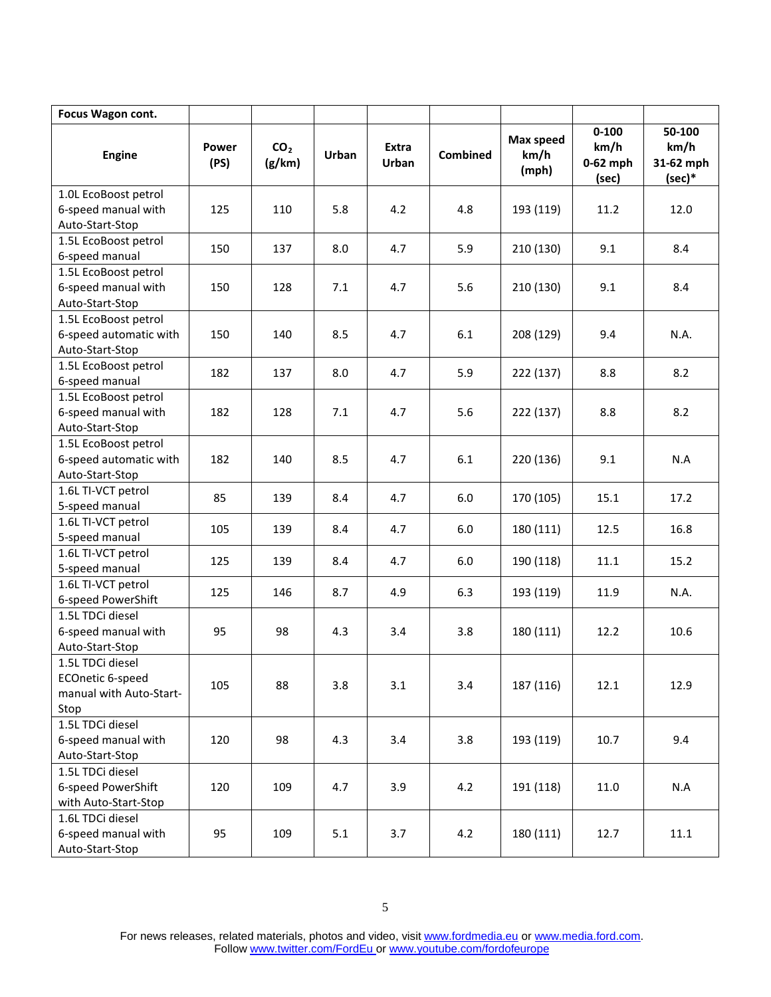| Focus Wagon cont.                                                       |               |                           |       |                |                 |                            |                                          |                                         |
|-------------------------------------------------------------------------|---------------|---------------------------|-------|----------------|-----------------|----------------------------|------------------------------------------|-----------------------------------------|
| <b>Engine</b>                                                           | Power<br>(PS) | CO <sub>2</sub><br>(g/km) | Urban | Extra<br>Urban | <b>Combined</b> | Max speed<br>km/h<br>(mph) | $0 - 100$<br>km/h<br>$0-62$ mph<br>(sec) | 50-100<br>km/h<br>31-62 mph<br>$(sec)*$ |
| 1.0L EcoBoost petrol<br>6-speed manual with<br>Auto-Start-Stop          | 125           | 110                       | 5.8   | 4.2            | 4.8             | 193 (119)                  | 11.2                                     | 12.0                                    |
| 1.5L EcoBoost petrol<br>6-speed manual                                  | 150           | 137                       | 8.0   | 4.7            | 5.9             | 210 (130)                  | 9.1                                      | 8.4                                     |
| 1.5L EcoBoost petrol<br>6-speed manual with<br>Auto-Start-Stop          | 150           | 128                       | 7.1   | 4.7            | 5.6             | 210 (130)                  | 9.1                                      | 8.4                                     |
| 1.5L EcoBoost petrol<br>6-speed automatic with<br>Auto-Start-Stop       | 150           | 140                       | 8.5   | 4.7            | 6.1             | 208 (129)                  | 9.4                                      | N.A.                                    |
| 1.5L EcoBoost petrol<br>6-speed manual                                  | 182           | 137                       | 8.0   | 4.7            | 5.9             | 222 (137)                  | 8.8                                      | 8.2                                     |
| 1.5L EcoBoost petrol<br>6-speed manual with<br>Auto-Start-Stop          | 182           | 128                       | 7.1   | 4.7            | 5.6             | 222 (137)                  | 8.8                                      | 8.2                                     |
| 1.5L EcoBoost petrol<br>6-speed automatic with<br>Auto-Start-Stop       | 182           | 140                       | 8.5   | 4.7            | 6.1             | 220 (136)                  | 9.1                                      | N.A                                     |
| 1.6L TI-VCT petrol<br>5-speed manual                                    | 85            | 139                       | 8.4   | 4.7            | 6.0             | 170 (105)                  | 15.1                                     | 17.2                                    |
| 1.6L TI-VCT petrol<br>5-speed manual                                    | 105           | 139                       | 8.4   | 4.7            | 6.0             | 180 (111)                  | 12.5                                     | 16.8                                    |
| 1.6L TI-VCT petrol<br>5-speed manual                                    | 125           | 139                       | 8.4   | 4.7            | 6.0             | 190 (118)                  | 11.1                                     | 15.2                                    |
| 1.6L TI-VCT petrol<br>6-speed PowerShift                                | 125           | 146                       | 8.7   | 4.9            | 6.3             | 193 (119)                  | 11.9                                     | N.A.                                    |
| 1.5L TDCi diesel<br>6-speed manual with<br>Auto-Start-Stop              | 95            | 98                        | 4.3   | 3.4            | 3.8             | 180 (111)                  | 12.2                                     | 10.6                                    |
| 1.5L TDCi diesel<br>ECOnetic 6-speed<br>manual with Auto-Start-<br>Stop | 105           | 88                        | 3.8   | 3.1            | 3.4             | 187 (116)                  | 12.1                                     | 12.9                                    |
| 1.5L TDCi diesel<br>6-speed manual with<br>Auto-Start-Stop              | 120           | 98                        | 4.3   | 3.4            | 3.8             | 193 (119)                  | 10.7                                     | 9.4                                     |
| 1.5L TDCi diesel<br>6-speed PowerShift<br>with Auto-Start-Stop          | 120           | 109                       | 4.7   | 3.9            | 4.2             | 191 (118)                  | 11.0                                     | N.A                                     |
| 1.6L TDCi diesel<br>6-speed manual with<br>Auto-Start-Stop              | 95            | 109                       | 5.1   | 3.7            | 4.2             | 180 (111)                  | 12.7                                     | 11.1                                    |

For news releases, related materials, photos and video, visit [www.fordmedia.eu](http://www.fordmedia.eu/) o[r www.media.ford.com.](http://www.media.ford.com/) Follow [www.twitter.com/FordEu](http://www.twitter.com/FordEu) or [www.youtube.com/fordofeurope](http://www.youtube.com/fordofeurope)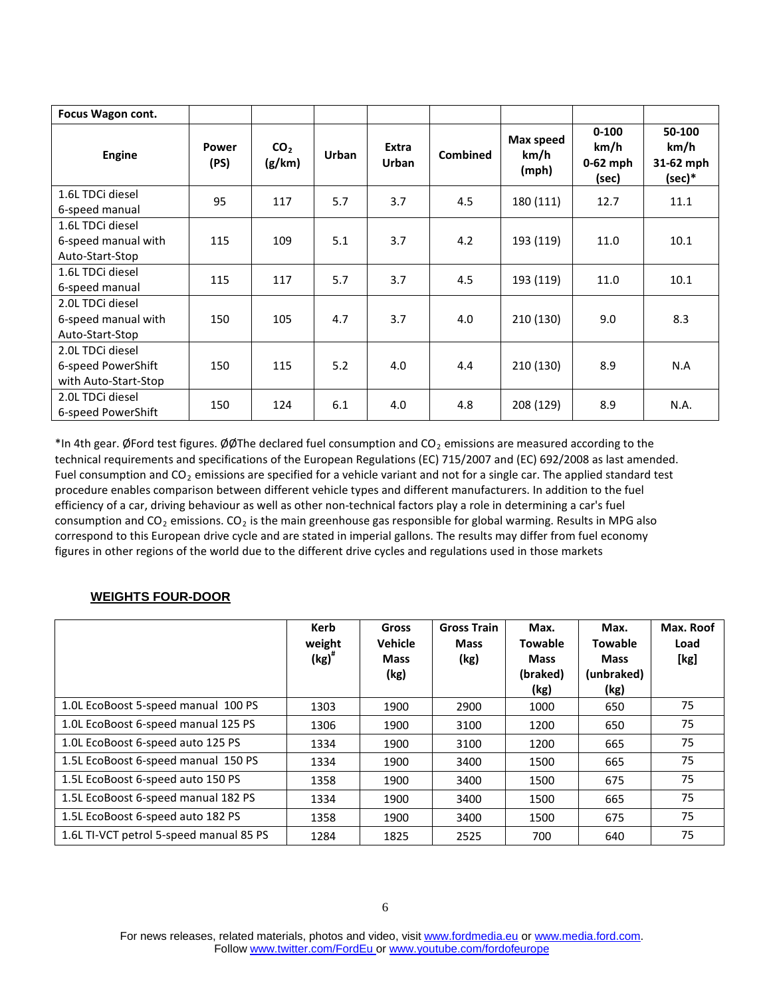| Focus Wagon cont.                  |                      |                           |              |                |                 |                            |                                          |                                         |
|------------------------------------|----------------------|---------------------------|--------------|----------------|-----------------|----------------------------|------------------------------------------|-----------------------------------------|
| Engine                             | <b>Power</b><br>(PS) | CO <sub>2</sub><br>(g/km) | <b>Urban</b> | Extra<br>Urban | <b>Combined</b> | Max speed<br>km/h<br>(mph) | $0 - 100$<br>km/h<br>$0-62$ mph<br>(sec) | 50-100<br>km/h<br>31-62 mph<br>$(sec)*$ |
| 1.6L TDCi diesel<br>6-speed manual | 95                   | 117                       | 5.7          | 3.7            | 4.5             | 180 (111)                  | 12.7                                     | 11.1                                    |
| 1.6L TDCi diesel                   |                      |                           |              |                |                 |                            |                                          |                                         |
| 6-speed manual with                | 115                  | 109                       | 5.1          | 3.7            | 4.2             | 193 (119)                  | 11.0                                     | 10.1                                    |
| Auto-Start-Stop                    |                      |                           |              |                |                 |                            |                                          |                                         |
| 1.6L TDCi diesel                   | 115                  | 117                       | 5.7          | 3.7            | 4.5             | 193 (119)                  | 11.0                                     | 10.1                                    |
| 6-speed manual                     |                      |                           |              |                |                 |                            |                                          |                                         |
| 2.0L TDCi diesel                   |                      |                           |              |                |                 |                            |                                          |                                         |
| 6-speed manual with                | 150                  | 105                       | 4.7          | 3.7            | 4.0             | 210 (130)                  | 9.0                                      | 8.3                                     |
| Auto-Start-Stop                    |                      |                           |              |                |                 |                            |                                          |                                         |
| 2.0L TDCi diesel                   |                      |                           |              |                |                 |                            |                                          |                                         |
| 6-speed PowerShift                 | 150                  | 115                       | 5.2          | 4.0            | 4.4             | 210 (130)                  | 8.9                                      | N.A                                     |
| with Auto-Start-Stop               |                      |                           |              |                |                 |                            |                                          |                                         |
| 2.0L TDCi diesel                   | 150                  | 124                       | 6.1          | 4.0            | 4.8             | 208 (129)                  | 8.9                                      | N.A.                                    |
| 6-speed PowerShift                 |                      |                           |              |                |                 |                            |                                          |                                         |

\*In 4th gear. ØFord test figures. ØØThe declared fuel consumption and CO<sub>2</sub> emissions are measured according to the technical requirements and specifications of the European Regulations (EC) 715/2007 and (EC) 692/2008 as last amended. Fuel consumption and  $CO<sub>2</sub>$  emissions are specified for a vehicle variant and not for a single car. The applied standard test procedure enables comparison between different vehicle types and different manufacturers. In addition to the fuel efficiency of a car, driving behaviour as well as other non-technical factors play a role in determining a car's fuel consumption and CO<sub>2</sub> emissions. CO<sub>2</sub> is the main greenhouse gas responsible for global warming. Results in MPG also correspond to this European drive cycle and are stated in imperial gallons. The results may differ from fuel economy figures in other regions of the world due to the different drive cycles and regulations used in those markets

### **WEIGHTS FOUR-DOOR**

|                                         | Kerb<br>weight<br>$\left(\text{kg}\right)^{*}$ | Gross<br><b>Vehicle</b><br><b>Mass</b><br>(kg) | <b>Gross Train</b><br><b>Mass</b><br>(kg) | Max.<br><b>Towable</b><br><b>Mass</b><br>(braked)<br>(kg) | Max.<br><b>Towable</b><br><b>Mass</b><br>(unbraked)<br>(kg) | Max. Roof<br>Load<br>[kg] |
|-----------------------------------------|------------------------------------------------|------------------------------------------------|-------------------------------------------|-----------------------------------------------------------|-------------------------------------------------------------|---------------------------|
| 1.0L EcoBoost 5-speed manual 100 PS     | 1303                                           | 1900                                           | 2900                                      | 1000                                                      | 650                                                         | 75                        |
| 1.0L EcoBoost 6-speed manual 125 PS     | 1306                                           | 1900                                           | 3100                                      | 1200                                                      | 650                                                         | 75                        |
| 1.0L EcoBoost 6-speed auto 125 PS       | 1334                                           | 1900                                           | 3100                                      | 1200                                                      | 665                                                         | 75                        |
| 1.5L EcoBoost 6-speed manual 150 PS     | 1334                                           | 1900                                           | 3400                                      | 1500                                                      | 665                                                         | 75                        |
| 1.5L EcoBoost 6-speed auto 150 PS       | 1358                                           | 1900                                           | 3400                                      | 1500                                                      | 675                                                         | 75                        |
| 1.5L EcoBoost 6-speed manual 182 PS     | 1334                                           | 1900                                           | 3400                                      | 1500                                                      | 665                                                         | 75                        |
| 1.5L EcoBoost 6-speed auto 182 PS       | 1358                                           | 1900                                           | 3400                                      | 1500                                                      | 675                                                         | 75                        |
| 1.6L TI-VCT petrol 5-speed manual 85 PS | 1284                                           | 1825                                           | 2525                                      | 700                                                       | 640                                                         | 75                        |

For news releases, related materials, photos and video, visit [www.fordmedia.eu](http://www.fordmedia.eu/) o[r www.media.ford.com.](http://www.media.ford.com/) Follow [www.twitter.com/FordEu](http://www.twitter.com/FordEu) or [www.youtube.com/fordofeurope](http://www.youtube.com/fordofeurope)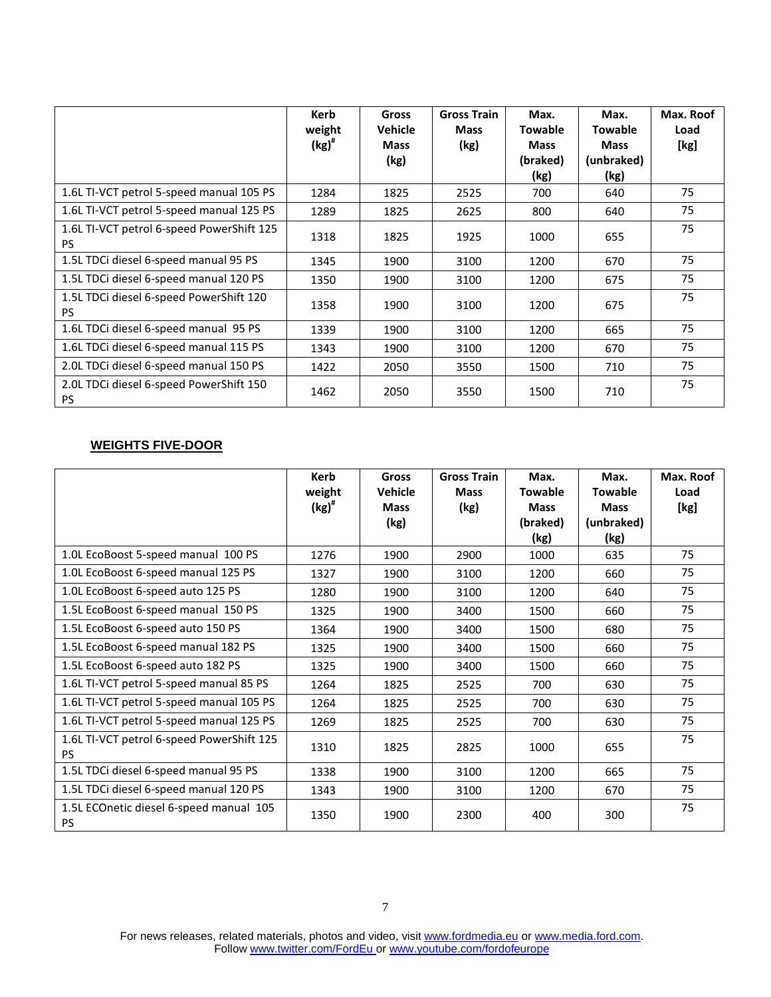|                                                        | Kerb<br>weight<br>$\left(\text{kg}\right)^{\#}$ | <b>Gross</b><br><b>Vehicle</b><br><b>Mass</b><br>(kg) | <b>Gross Train</b><br><b>Mass</b><br>(kg) | Max.<br><b>Towable</b><br><b>Mass</b><br>(braked)<br>(kg) | Max.<br><b>Towable</b><br><b>Mass</b><br>(unbraked)<br>(kg) | Max. Roof<br>Load<br>[kg] |
|--------------------------------------------------------|-------------------------------------------------|-------------------------------------------------------|-------------------------------------------|-----------------------------------------------------------|-------------------------------------------------------------|---------------------------|
| 1.6L TI-VCT petrol 5-speed manual 105 PS               | 1284                                            | 1825                                                  | 2525                                      | 700                                                       | 640                                                         | 75                        |
| 1.6L TI-VCT petrol 5-speed manual 125 PS               | 1289                                            | 1825                                                  | 2625                                      | 800                                                       | 640                                                         | 75                        |
| 1.6L TI-VCT petrol 6-speed PowerShift 125<br><b>PS</b> | 1318                                            | 1825                                                  | 1925                                      | 1000                                                      | 655                                                         | 75                        |
| 1.5L TDCi diesel 6-speed manual 95 PS                  | 1345                                            | 1900                                                  | 3100                                      | 1200                                                      | 670                                                         | 75                        |
| 1.5L TDCi diesel 6-speed manual 120 PS                 | 1350                                            | 1900                                                  | 3100                                      | 1200                                                      | 675                                                         | 75                        |
| 1.5L TDCi diesel 6-speed PowerShift 120<br><b>PS</b>   | 1358                                            | 1900                                                  | 3100                                      | 1200                                                      | 675                                                         | 75                        |
| 1.6L TDCi diesel 6-speed manual 95 PS                  | 1339                                            | 1900                                                  | 3100                                      | 1200                                                      | 665                                                         | 75                        |
| 1.6L TDCi diesel 6-speed manual 115 PS                 | 1343                                            | 1900                                                  | 3100                                      | 1200                                                      | 670                                                         | 75                        |
| 2.0L TDCi diesel 6-speed manual 150 PS                 | 1422                                            | 2050                                                  | 3550                                      | 1500                                                      | 710                                                         | 75                        |
| 2.0L TDCi diesel 6-speed PowerShift 150<br><b>PS</b>   | 1462                                            | 2050                                                  | 3550                                      | 1500                                                      | 710                                                         | 75                        |

### **WEIGHTS FIVE-DOOR**

|                                                        | Kerb<br>weight<br>$\left(\text{kg}\right)^{\#}$ | <b>Gross</b><br><b>Vehicle</b><br><b>Mass</b> | <b>Gross Train</b><br><b>Mass</b><br>(kg) | Max.<br><b>Towable</b><br><b>Mass</b> | Max.<br><b>Towable</b><br><b>Mass</b> | Max. Roof<br>Load<br>[kg] |
|--------------------------------------------------------|-------------------------------------------------|-----------------------------------------------|-------------------------------------------|---------------------------------------|---------------------------------------|---------------------------|
|                                                        |                                                 | (kg)                                          |                                           | (braked)<br>(kg)                      | (unbraked)<br>(kg)                    |                           |
| 1.0L EcoBoost 5-speed manual 100 PS                    | 1276                                            | 1900                                          | 2900                                      | 1000                                  | 635                                   | 75                        |
| 1.0L EcoBoost 6-speed manual 125 PS                    | 1327                                            | 1900                                          | 3100                                      | 1200                                  | 660                                   | 75                        |
| 1.0L EcoBoost 6-speed auto 125 PS                      | 1280                                            | 1900                                          | 3100                                      | 1200                                  | 640                                   | 75                        |
| 1.5L EcoBoost 6-speed manual 150 PS                    | 1325                                            | 1900                                          | 3400                                      | 1500                                  | 660                                   | 75                        |
| 1.5L EcoBoost 6-speed auto 150 PS                      | 1364                                            | 1900                                          | 3400                                      | 1500                                  | 680                                   | 75                        |
| 1.5L EcoBoost 6-speed manual 182 PS                    | 1325                                            | 1900                                          | 3400                                      | 1500                                  | 660                                   | 75                        |
| 1.5L EcoBoost 6-speed auto 182 PS                      | 1325                                            | 1900                                          | 3400                                      | 1500                                  | 660                                   | 75                        |
| 1.6L TI-VCT petrol 5-speed manual 85 PS                | 1264                                            | 1825                                          | 2525                                      | 700                                   | 630                                   | 75                        |
| 1.6L TI-VCT petrol 5-speed manual 105 PS               | 1264                                            | 1825                                          | 2525                                      | 700                                   | 630                                   | 75                        |
| 1.6L TI-VCT petrol 5-speed manual 125 PS               | 1269                                            | 1825                                          | 2525                                      | 700                                   | 630                                   | 75                        |
| 1.6L TI-VCT petrol 6-speed PowerShift 125<br><b>PS</b> | 1310                                            | 1825                                          | 2825                                      | 1000                                  | 655                                   | 75                        |
| 1.5L TDCi diesel 6-speed manual 95 PS                  | 1338                                            | 1900                                          | 3100                                      | 1200                                  | 665                                   | 75                        |
| 1.5L TDCi diesel 6-speed manual 120 PS                 | 1343                                            | 1900                                          | 3100                                      | 1200                                  | 670                                   | 75                        |
| 1.5L ECOnetic diesel 6-speed manual 105<br><b>PS</b>   | 1350                                            | 1900                                          | 2300                                      | 400                                   | 300                                   | 75                        |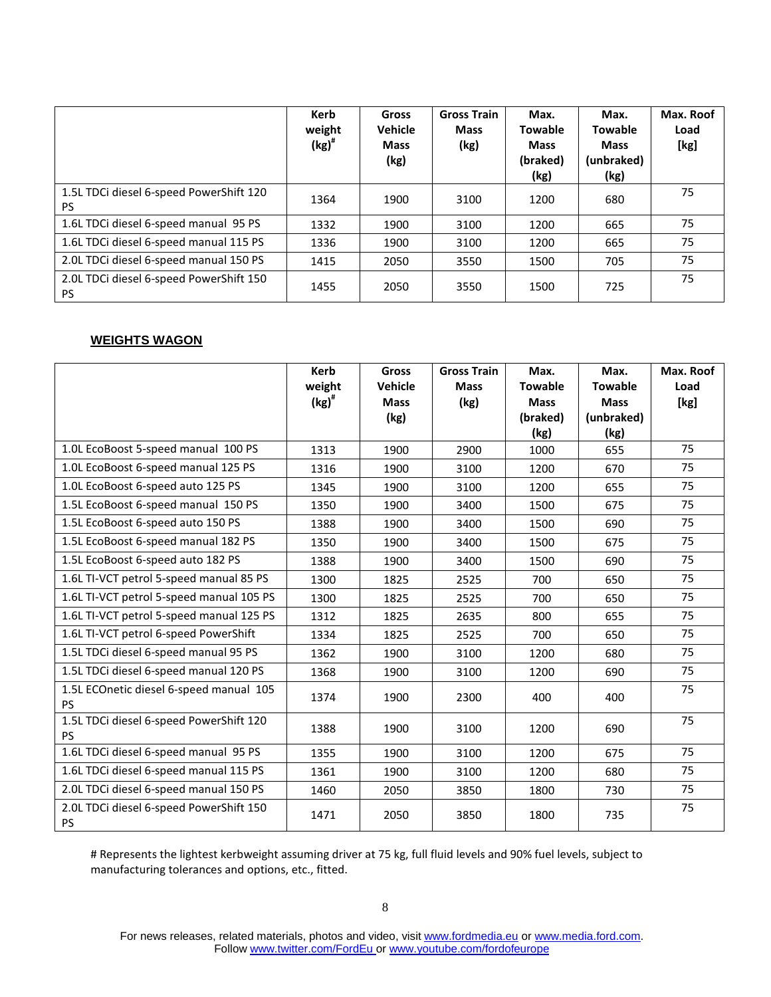|                                                      | Kerb<br>weight<br>$\left(\text{kg}\right)^{\#}$ | <b>Gross</b><br><b>Vehicle</b><br><b>Mass</b><br>(kg) | <b>Gross Train</b><br><b>Mass</b><br>(kg) | Max.<br><b>Towable</b><br><b>Mass</b><br>(braked)<br>(kg) | Max.<br><b>Towable</b><br><b>Mass</b><br>(unbraked)<br>(kg) | Max. Roof<br>Load<br>[kg] |
|------------------------------------------------------|-------------------------------------------------|-------------------------------------------------------|-------------------------------------------|-----------------------------------------------------------|-------------------------------------------------------------|---------------------------|
| 1.5L TDCi diesel 6-speed PowerShift 120<br><b>PS</b> | 1364                                            | 1900                                                  | 3100                                      | 1200                                                      | 680                                                         | 75                        |
| 1.6L TDCi diesel 6-speed manual 95 PS                | 1332                                            | 1900                                                  | 3100                                      | 1200                                                      | 665                                                         | 75                        |
| 1.6L TDCi diesel 6-speed manual 115 PS               | 1336                                            | 1900                                                  | 3100                                      | 1200                                                      | 665                                                         | 75                        |
| 2.0L TDCi diesel 6-speed manual 150 PS               | 1415                                            | 2050                                                  | 3550                                      | 1500                                                      | 705                                                         | 75                        |
| 2.0L TDCi diesel 6-speed PowerShift 150<br><b>PS</b> | 1455                                            | 2050                                                  | 3550                                      | 1500                                                      | 725                                                         | 75                        |

### **WEIGHTS WAGON**

|                                                      | <b>Kerb</b><br>weight<br>$\left(\text{kg}\right)^{\#}$ | <b>Gross</b><br>Vehicle<br><b>Mass</b><br>(kg) | <b>Gross Train</b><br><b>Mass</b><br>(kg) | Max.<br><b>Towable</b><br><b>Mass</b><br>(braked) | Max.<br><b>Towable</b><br><b>Mass</b><br>(unbraked) | Max. Roof<br>Load<br>[kg] |
|------------------------------------------------------|--------------------------------------------------------|------------------------------------------------|-------------------------------------------|---------------------------------------------------|-----------------------------------------------------|---------------------------|
| 1.0L EcoBoost 5-speed manual 100 PS                  | 1313                                                   | 1900                                           | 2900                                      | (kg)<br>1000                                      | (kg)<br>655                                         | 75                        |
| 1.0L EcoBoost 6-speed manual 125 PS                  |                                                        |                                                |                                           |                                                   |                                                     | 75                        |
|                                                      | 1316                                                   | 1900                                           | 3100                                      | 1200                                              | 670                                                 |                           |
| 1.0L EcoBoost 6-speed auto 125 PS                    | 1345                                                   | 1900                                           | 3100                                      | 1200                                              | 655                                                 | 75                        |
| 1.5L EcoBoost 6-speed manual 150 PS                  | 1350                                                   | 1900                                           | 3400                                      | 1500                                              | 675                                                 | 75                        |
| 1.5L EcoBoost 6-speed auto 150 PS                    | 1388                                                   | 1900                                           | 3400                                      | 1500                                              | 690                                                 | 75                        |
| 1.5L EcoBoost 6-speed manual 182 PS                  | 1350                                                   | 1900                                           | 3400                                      | 1500                                              | 675                                                 | 75                        |
| 1.5L EcoBoost 6-speed auto 182 PS                    | 1388                                                   | 1900                                           | 3400                                      | 1500                                              | 690                                                 | 75                        |
| 1.6L TI-VCT petrol 5-speed manual 85 PS              | 1300                                                   | 1825                                           | 2525                                      | 700                                               | 650                                                 | 75                        |
| 1.6L TI-VCT petrol 5-speed manual 105 PS             | 1300                                                   | 1825                                           | 2525                                      | 700                                               | 650                                                 | 75                        |
| 1.6L TI-VCT petrol 5-speed manual 125 PS             | 1312                                                   | 1825                                           | 2635                                      | 800                                               | 655                                                 | 75                        |
| 1.6L TI-VCT petrol 6-speed PowerShift                | 1334                                                   | 1825                                           | 2525                                      | 700                                               | 650                                                 | 75                        |
| 1.5L TDCi diesel 6-speed manual 95 PS                | 1362                                                   | 1900                                           | 3100                                      | 1200                                              | 680                                                 | 75                        |
| 1.5L TDCi diesel 6-speed manual 120 PS               | 1368                                                   | 1900                                           | 3100                                      | 1200                                              | 690                                                 | 75                        |
| 1.5L ECOnetic diesel 6-speed manual 105<br><b>PS</b> | 1374                                                   | 1900                                           | 2300                                      | 400                                               | 400                                                 | 75                        |
| 1.5L TDCi diesel 6-speed PowerShift 120<br><b>PS</b> | 1388                                                   | 1900                                           | 3100                                      | 1200                                              | 690                                                 | 75                        |
| 1.6L TDCi diesel 6-speed manual 95 PS                | 1355                                                   | 1900                                           | 3100                                      | 1200                                              | 675                                                 | 75                        |
| 1.6L TDCi diesel 6-speed manual 115 PS               | 1361                                                   | 1900                                           | 3100                                      | 1200                                              | 680                                                 | 75                        |
| 2.0L TDCi diesel 6-speed manual 150 PS               | 1460                                                   | 2050                                           | 3850                                      | 1800                                              | 730                                                 | 75                        |
| 2.0L TDCi diesel 6-speed PowerShift 150<br><b>PS</b> | 1471                                                   | 2050                                           | 3850                                      | 1800                                              | 735                                                 | 75                        |

# Represents the lightest kerbweight assuming driver at 75 kg, full fluid levels and 90% fuel levels, subject to manufacturing tolerances and options, etc., fitted.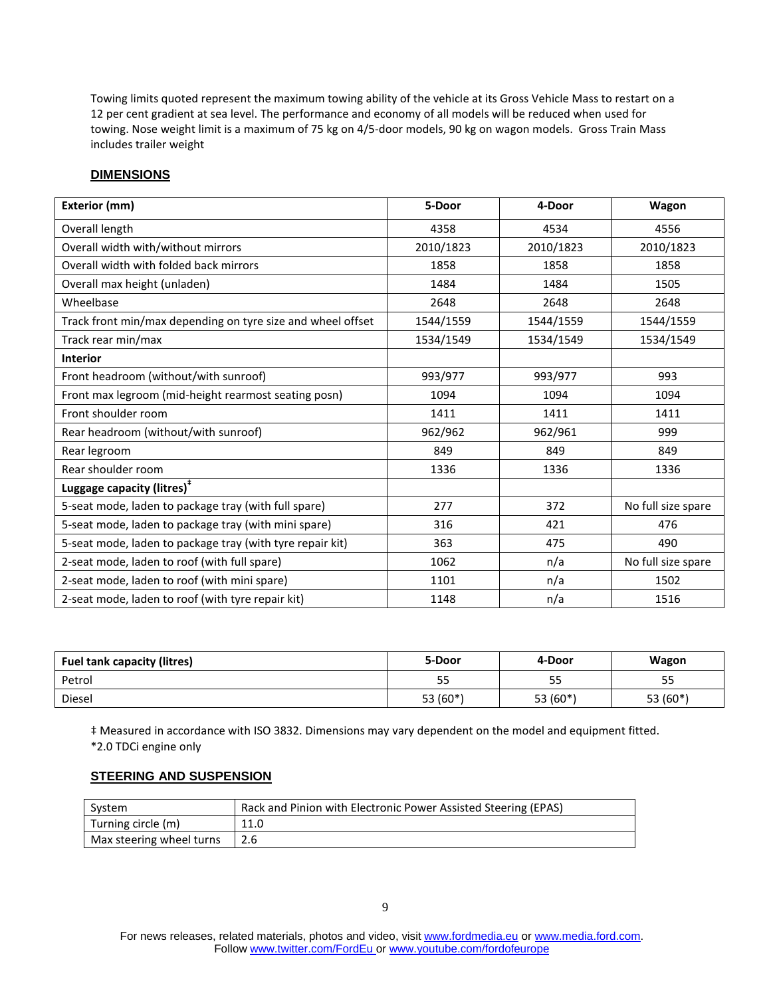Towing limits quoted represent the maximum towing ability of the vehicle at its Gross Vehicle Mass to restart on a 12 per cent gradient at sea level. The performance and economy of all models will be reduced when used for towing. Nose weight limit is a maximum of 75 kg on 4/5-door models, 90 kg on wagon models. Gross Train Mass includes trailer weight

#### **DIMENSIONS**

| Exterior (mm)                                               | 5-Door    | 4-Door    | Wagon              |
|-------------------------------------------------------------|-----------|-----------|--------------------|
| Overall length                                              | 4358      | 4534      | 4556               |
| Overall width with/without mirrors                          | 2010/1823 | 2010/1823 | 2010/1823          |
| Overall width with folded back mirrors                      | 1858      | 1858      | 1858               |
| Overall max height (unladen)                                | 1484      | 1484      | 1505               |
| Wheelbase                                                   | 2648      | 2648      | 2648               |
| Track front min/max depending on tyre size and wheel offset | 1544/1559 | 1544/1559 | 1544/1559          |
| Track rear min/max                                          | 1534/1549 | 1534/1549 | 1534/1549          |
| <b>Interior</b>                                             |           |           |                    |
| Front headroom (without/with sunroof)                       | 993/977   | 993/977   | 993                |
| Front max legroom (mid-height rearmost seating posn)        | 1094      | 1094      | 1094               |
| Front shoulder room                                         | 1411      | 1411      | 1411               |
| Rear headroom (without/with sunroof)                        | 962/962   | 962/961   | 999                |
| Rear legroom                                                | 849       | 849       | 849                |
| Rear shoulder room                                          | 1336      | 1336      | 1336               |
| Luggage capacity (litres) <sup>*</sup>                      |           |           |                    |
| 5-seat mode, laden to package tray (with full spare)        | 277       | 372       | No full size spare |
| 5-seat mode, laden to package tray (with mini spare)        | 316       | 421       | 476                |
| 5-seat mode, laden to package tray (with tyre repair kit)   | 363       | 475       | 490                |
| 2-seat mode, laden to roof (with full spare)                | 1062      | n/a       | No full size spare |
| 2-seat mode, laden to roof (with mini spare)                | 1101      | n/a       | 1502               |
| 2-seat mode, laden to roof (with tyre repair kit)           | 1148      | n/a       | 1516               |

| <b>Fuel tank capacity (litres)</b> | 5-Door   | 4-Door   | Wagon      |
|------------------------------------|----------|----------|------------|
| Petrol                             | <u>.</u> | 55       | 55         |
| Diesel                             | 53 (60*) | 53 (60*) | 53 $(60*)$ |

‡ Measured in accordance with ISO 3832. Dimensions may vary dependent on the model and equipment fitted. \*2.0 TDCi engine only

#### **STEERING AND SUSPENSION**

| System                   | Rack and Pinion with Electronic Power Assisted Steering (EPAS) |
|--------------------------|----------------------------------------------------------------|
| Turning circle (m)       | 11.0                                                           |
| Max steering wheel turns | 2.6                                                            |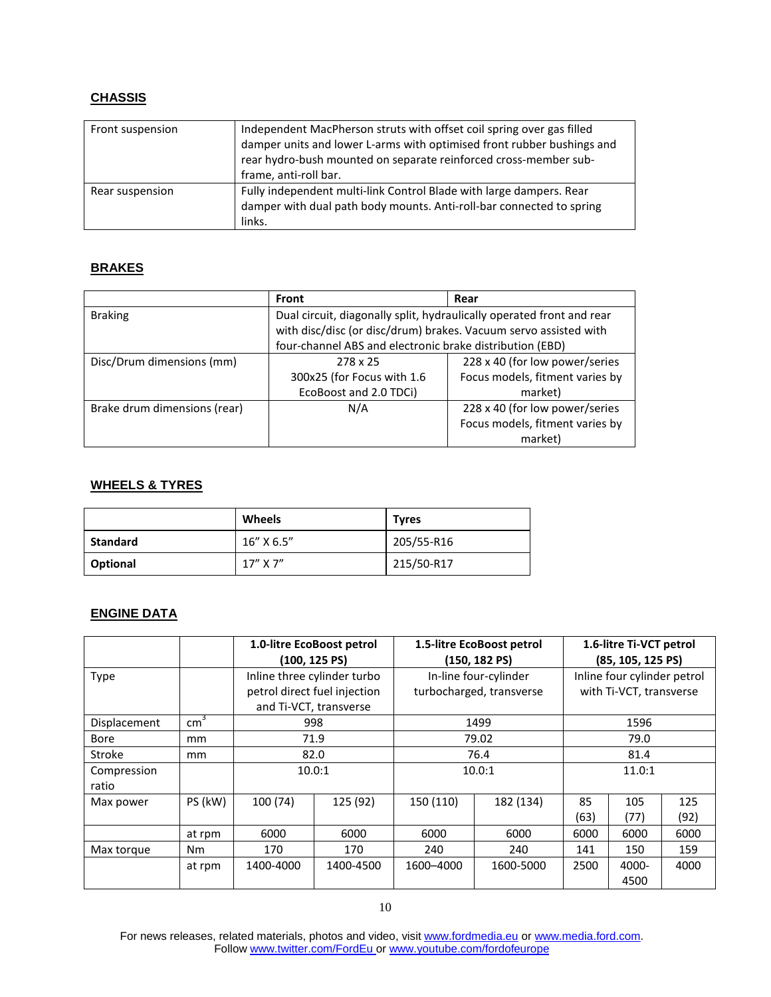### **CHASSIS**

| Front suspension | Independent MacPherson struts with offset coil spring over gas filled<br>damper units and lower L-arms with optimised front rubber bushings and<br>rear hydro-bush mounted on separate reinforced cross-member sub-<br>frame, anti-roll bar. |
|------------------|----------------------------------------------------------------------------------------------------------------------------------------------------------------------------------------------------------------------------------------------|
| Rear suspension  | Fully independent multi-link Control Blade with large dampers. Rear<br>damper with dual path body mounts. Anti-roll-bar connected to spring<br>links.                                                                                        |

### **BRAKES**

|                              | Front                                                                                                                                     | Rear                            |  |  |  |
|------------------------------|-------------------------------------------------------------------------------------------------------------------------------------------|---------------------------------|--|--|--|
| <b>Braking</b>               | Dual circuit, diagonally split, hydraulically operated front and rear<br>with disc/disc (or disc/drum) brakes. Vacuum servo assisted with |                                 |  |  |  |
|                              | four-channel ABS and electronic brake distribution (EBD)                                                                                  |                                 |  |  |  |
| Disc/Drum dimensions (mm)    | 278 x 25                                                                                                                                  | 228 x 40 (for low power/series  |  |  |  |
|                              | 300x25 (for Focus with 1.6                                                                                                                | Focus models, fitment varies by |  |  |  |
|                              | EcoBoost and 2.0 TDCi)                                                                                                                    | market)                         |  |  |  |
| Brake drum dimensions (rear) | N/A                                                                                                                                       | 228 x 40 (for low power/series  |  |  |  |
|                              |                                                                                                                                           | Focus models, fitment varies by |  |  |  |
|                              |                                                                                                                                           | market)                         |  |  |  |

### **WHEELS & TYRES**

|          | Wheels      | <b>Tyres</b> |
|----------|-------------|--------------|
| Standard | 16" X 6.5"  | 205/55-R16   |
| Optional | $17''$ X 7" | 215/50-R17   |

## **ENGINE DATA**

|              |               | 1.0-litre EcoBoost petrol |                              | 1.5-litre EcoBoost petrol |                          | 1.6-litre Ti-VCT petrol |                             |      |  |
|--------------|---------------|---------------------------|------------------------------|---------------------------|--------------------------|-------------------------|-----------------------------|------|--|
|              |               | $(100, 125 \text{ PS})$   |                              | $(150, 182 \text{ PS})$   |                          | (85, 105, 125 PS)       |                             |      |  |
| <b>Type</b>  |               |                           | Inline three cylinder turbo  |                           | In-line four-cylinder    |                         | Inline four cylinder petrol |      |  |
|              |               |                           | petrol direct fuel injection |                           | turbocharged, transverse | with Ti-VCT, transverse |                             |      |  |
|              |               | and Ti-VCT, transverse    |                              |                           |                          |                         |                             |      |  |
| Displacement | $\text{cm}^3$ | 998                       |                              |                           | 1499                     | 1596                    |                             |      |  |
| <b>Bore</b>  | mm            | 71.9                      |                              |                           | 79.02                    |                         | 79.0                        |      |  |
| Stroke       | mm            | 82.0                      |                              | 76.4                      |                          | 81.4                    |                             |      |  |
| Compression  |               | 10.0:1                    |                              | 10.0:1                    |                          | 11.0:1                  |                             |      |  |
| ratio        |               |                           |                              |                           |                          |                         |                             |      |  |
| Max power    | PS (kW)       | 100 (74)                  | 125 (92)                     | 150 (110)                 | 182 (134)                | 85                      | 105                         | 125  |  |
|              |               |                           |                              |                           |                          | (63)                    | (77)                        | (92) |  |
|              | at rpm        | 6000                      | 6000                         | 6000                      | 6000                     | 6000                    | 6000                        | 6000 |  |
| Max torque   | <b>Nm</b>     | 170                       | 170                          | 240                       | 240                      | 141                     | 150                         | 159  |  |
|              | at rpm        | 1400-4000                 | 1400-4500                    | 1600-4000                 | 1600-5000                | 2500                    | 4000-                       | 4000 |  |
|              |               |                           |                              |                           |                          |                         | 4500                        |      |  |

For news releases, related materials, photos and video, visit [www.fordmedia.eu](http://www.fordmedia.eu/) o[r www.media.ford.com.](http://www.media.ford.com/) Follow [www.twitter.com/FordEu](http://www.twitter.com/FordEu) or [www.youtube.com/fordofeurope](http://www.youtube.com/fordofeurope)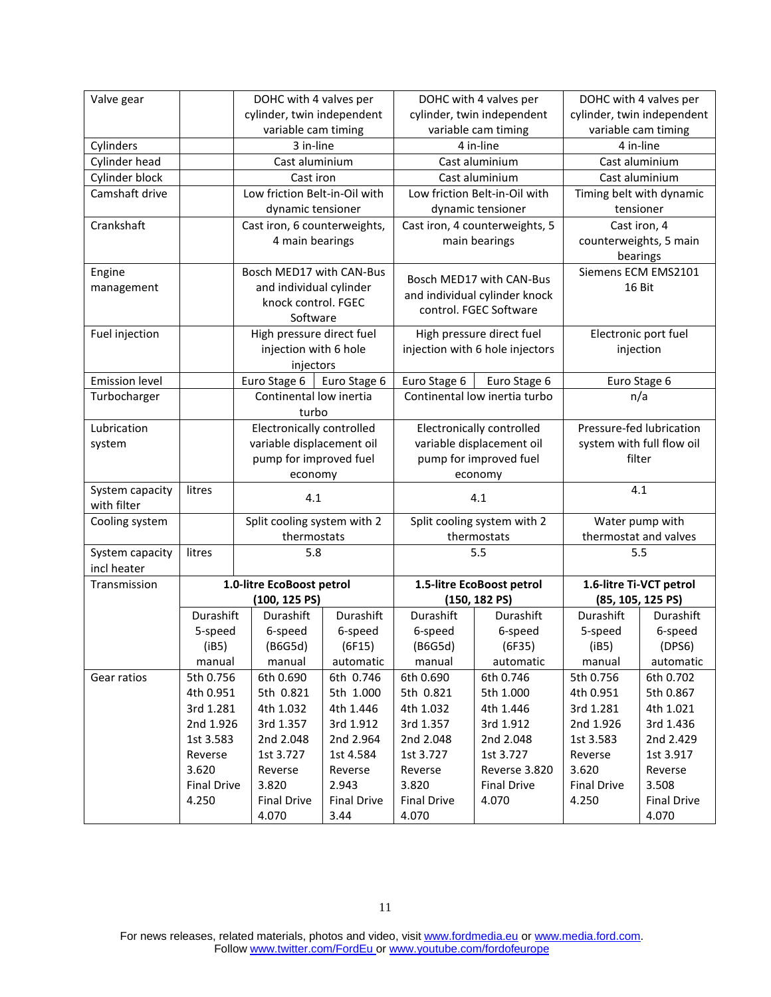| Valve gear                     |                    | DOHC with 4 valves per        |                    |                    | DOHC with 4 valves per           |                                          | DOHC with 4 valves per     |
|--------------------------------|--------------------|-------------------------------|--------------------|--------------------|----------------------------------|------------------------------------------|----------------------------|
|                                |                    | cylinder, twin independent    |                    |                    | cylinder, twin independent       |                                          | cylinder, twin independent |
|                                |                    | variable cam timing           |                    |                    | variable cam timing              |                                          | variable cam timing        |
| Cylinders                      |                    | 3 in-line                     |                    | 4 in-line          |                                  | 4 in-line                                |                            |
| Cylinder head                  |                    | Cast aluminium                |                    |                    | Cast aluminium                   |                                          | Cast aluminium             |
| Cylinder block                 |                    | Cast iron                     |                    |                    | Cast aluminium                   |                                          | Cast aluminium             |
| Camshaft drive                 |                    | Low friction Belt-in-Oil with |                    |                    | Low friction Belt-in-Oil with    |                                          | Timing belt with dynamic   |
|                                |                    | dynamic tensioner             |                    |                    | dynamic tensioner                |                                          | tensioner                  |
| Crankshaft                     |                    | Cast iron, 6 counterweights,  |                    |                    | Cast iron, 4 counterweights, 5   |                                          | Cast iron, 4               |
|                                |                    | 4 main bearings               |                    |                    | main bearings                    |                                          | counterweights, 5 main     |
|                                |                    |                               |                    |                    |                                  |                                          | bearings                   |
| Engine                         |                    | Bosch MED17 with CAN-Bus      |                    |                    | Bosch MED17 with CAN-Bus         |                                          | Siemens ECM EMS2101        |
| management                     |                    | and individual cylinder       |                    |                    | and individual cylinder knock    |                                          | 16 Bit                     |
|                                |                    | knock control. FGEC           |                    |                    | control. FGEC Software           |                                          |                            |
|                                |                    | Software                      |                    |                    |                                  |                                          |                            |
| Fuel injection                 |                    | High pressure direct fuel     |                    |                    | High pressure direct fuel        |                                          | Electronic port fuel       |
|                                |                    | injection with 6 hole         |                    |                    | injection with 6 hole injectors  |                                          | injection                  |
|                                |                    | injectors                     |                    |                    |                                  |                                          |                            |
| <b>Emission level</b>          |                    | Euro Stage 6                  | Euro Stage 6       | Euro Stage 6       | Euro Stage 6                     |                                          | Euro Stage 6               |
| Turbocharger                   |                    | Continental low inertia       |                    |                    | Continental low inertia turbo    |                                          | n/a                        |
|                                |                    | turbo                         |                    |                    |                                  |                                          |                            |
| Lubrication                    |                    | Electronically controlled     |                    |                    | <b>Electronically controlled</b> |                                          | Pressure-fed lubrication   |
| system                         |                    | variable displacement oil     |                    |                    | variable displacement oil        |                                          | system with full flow oil  |
|                                |                    | pump for improved fuel        |                    |                    | pump for improved fuel           |                                          | filter                     |
|                                |                    | economy                       |                    |                    | economy                          |                                          |                            |
| System capacity                | litres             | 4.1                           |                    |                    | 4.1                              |                                          | 4.1                        |
| with filter                    |                    |                               |                    |                    |                                  |                                          |                            |
| Cooling system                 |                    | Split cooling system with 2   |                    |                    | Split cooling system with 2      | Water pump with<br>thermostat and valves |                            |
|                                |                    | thermostats                   |                    |                    | thermostats                      | 5.5                                      |                            |
| System capacity<br>incl heater | litres             | 5.8                           |                    |                    | 5.5                              |                                          |                            |
| Transmission                   |                    | 1.0-litre EcoBoost petrol     |                    |                    | 1.5-litre EcoBoost petrol        |                                          | 1.6-litre Ti-VCT petrol    |
|                                |                    | $(100, 125)$ PS)              |                    |                    | (150, 182P)                      |                                          | (85, 105, 125 PS)          |
|                                | Durashift          | Durashift                     | Durashift          | Durashift          | Durashift                        | Durashift                                | Durashift                  |
|                                | 5-speed            | 6-speed                       | 6-speed            | 6-speed            | 6-speed                          | 5-speed                                  | 6-speed                    |
|                                | (iB5)              | (B6G5d)                       | (6F15)             | (B6G5d)            | (6F35)                           | (iB5)                                    | (DPS6)                     |
|                                | manual             | manual                        | automatic          | manual             | automatic                        | manual                                   | automatic                  |
| Gear ratios                    | 5th 0.756          | 6th 0.690                     | 6th 0.746          | 6th 0.690          | 6th 0.746                        | 5th 0.756                                | 6th 0.702                  |
|                                | 4th 0.951          | 5th 0.821                     | 5th 1.000          | 5th 0.821          | 5th 1.000                        | 4th 0.951                                | 5th 0.867                  |
|                                | 3rd 1.281          | 4th 1.032                     | 4th 1.446          | 4th 1.032          | 4th 1.446                        | 3rd 1.281                                | 4th 1.021                  |
|                                | 2nd 1.926          | 3rd 1.357                     | 3rd 1.912          | 3rd 1.357          | 3rd 1.912                        | 2nd 1.926                                | 3rd 1.436                  |
|                                | 1st 3.583          | 2nd 2.048                     | 2nd 2.964          | 2nd 2.048          | 2nd 2.048                        | 1st 3.583                                | 2nd 2.429                  |
|                                | Reverse            | 1st 3.727                     | 1st 4.584          | 1st 3.727          | 1st 3.727                        | Reverse                                  | 1st 3.917                  |
|                                | 3.620              | Reverse                       | Reverse            | Reverse            | Reverse 3.820                    | 3.620                                    | Reverse                    |
|                                | <b>Final Drive</b> | 3.820                         | 2.943              | 3.820              | <b>Final Drive</b>               | <b>Final Drive</b>                       | 3.508                      |
|                                | 4.250              | <b>Final Drive</b>            | <b>Final Drive</b> | <b>Final Drive</b> | 4.070                            | 4.250                                    | <b>Final Drive</b>         |
|                                |                    | 4.070                         | 3.44               | 4.070              |                                  |                                          | 4.070                      |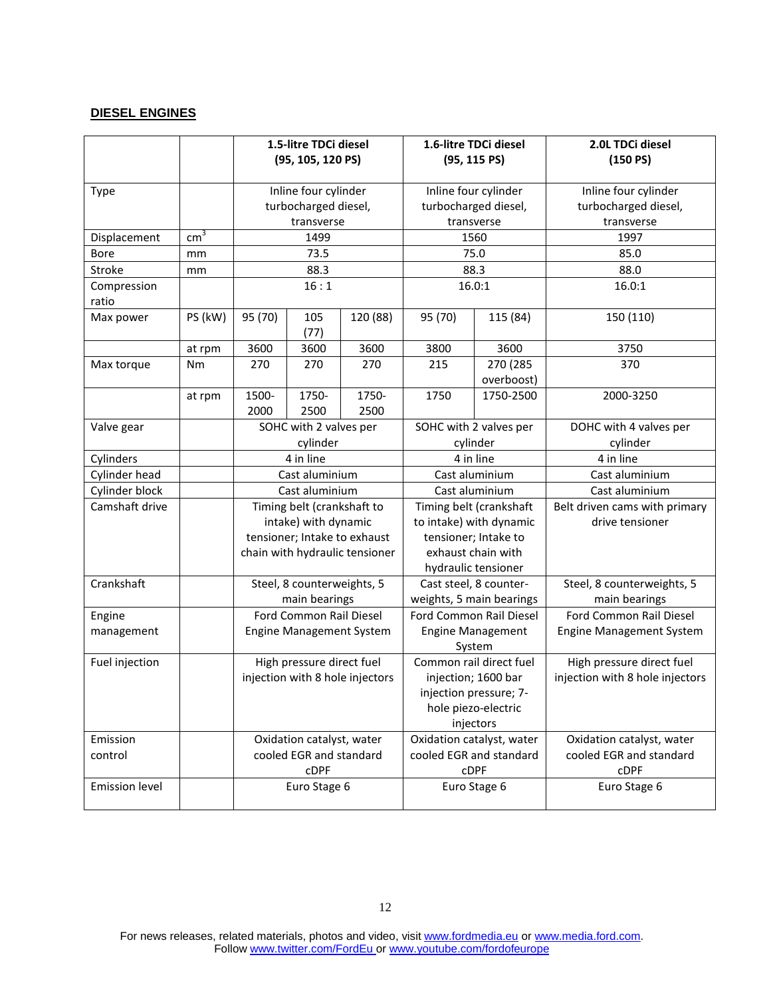### **DIESEL ENGINES**

|                       |                 | 1.5-litre TDCi diesel<br>(95, 105, 120 PS) |                                          | 1.6-litre TDCi diesel<br>(95, 115) |                                                     | 2.0L TDCi diesel<br>(150 PS) |                                          |  |
|-----------------------|-----------------|--------------------------------------------|------------------------------------------|------------------------------------|-----------------------------------------------------|------------------------------|------------------------------------------|--|
|                       |                 |                                            |                                          |                                    |                                                     |                              |                                          |  |
| <b>Type</b>           |                 |                                            | Inline four cylinder                     |                                    | Inline four cylinder                                |                              | Inline four cylinder                     |  |
|                       |                 | turbocharged diesel,                       |                                          |                                    | turbocharged diesel,                                | turbocharged diesel,         |                                          |  |
|                       |                 |                                            | transverse                               |                                    |                                                     | transverse                   | transverse                               |  |
| Displacement          | cm <sup>3</sup> |                                            | 1499                                     |                                    |                                                     | 1560                         | 1997                                     |  |
| <b>Bore</b>           | mm              |                                            | 73.5                                     |                                    |                                                     | 75.0                         | 85.0                                     |  |
| Stroke                | mm              |                                            | 88.3                                     |                                    |                                                     | 88.3                         | 88.0                                     |  |
| Compression           |                 |                                            | 16:1                                     |                                    |                                                     | 16.0:1                       | 16.0:1                                   |  |
| ratio                 |                 |                                            |                                          |                                    |                                                     |                              |                                          |  |
| Max power             | PS (kW)         | 95 (70)                                    | 105<br>(77)                              | 120 (88)                           | 95 (70)                                             | 115 (84)                     | 150 (110)                                |  |
|                       | at rpm          | 3600                                       | 3600                                     | 3600                               | 3800                                                | 3600                         | 3750                                     |  |
| Max torque            | Nm              | 270                                        | 270                                      | 270                                | 215                                                 | 270 (285                     | 370                                      |  |
|                       |                 |                                            |                                          |                                    |                                                     | overboost)                   |                                          |  |
|                       | at rpm          | 1500-                                      | 1750-                                    | 1750-                              | 1750                                                | 1750-2500                    | 2000-3250                                |  |
|                       |                 | 2000                                       | 2500                                     | 2500                               |                                                     |                              |                                          |  |
| Valve gear            |                 | SOHC with 2 valves per                     |                                          | SOHC with 2 valves per             |                                                     | DOHC with 4 valves per       |                                          |  |
|                       |                 |                                            | cylinder                                 |                                    | cylinder                                            |                              | cylinder                                 |  |
| Cylinders             |                 |                                            | 4 in line                                |                                    |                                                     | 4 in line                    | 4 in line                                |  |
| Cylinder head         |                 |                                            | Cast aluminium                           |                                    | Cast aluminium                                      |                              | Cast aluminium                           |  |
| Cylinder block        |                 |                                            | Cast aluminium                           |                                    |                                                     | Cast aluminium               | Cast aluminium                           |  |
| Camshaft drive        |                 |                                            | Timing belt (crankshaft to               |                                    |                                                     | Timing belt (crankshaft      | Belt driven cams with primary            |  |
|                       |                 |                                            | intake) with dynamic                     |                                    |                                                     | to intake) with dynamic      | drive tensioner                          |  |
|                       |                 |                                            |                                          | tensioner; Intake to exhaust       |                                                     | tensioner; Intake to         |                                          |  |
|                       |                 |                                            |                                          | chain with hydraulic tensioner     |                                                     | exhaust chain with           |                                          |  |
|                       |                 |                                            |                                          |                                    | hydraulic tensioner                                 |                              |                                          |  |
| Crankshaft            |                 |                                            | Steel, 8 counterweights, 5               |                                    | Cast steel, 8 counter-                              |                              | Steel, 8 counterweights, 5               |  |
|                       |                 |                                            | main bearings<br>Ford Common Rail Diesel |                                    | weights, 5 main bearings                            |                              | main bearings<br>Ford Common Rail Diesel |  |
| Engine                |                 |                                            |                                          | <b>Engine Management System</b>    | Ford Common Rail Diesel<br><b>Engine Management</b> |                              |                                          |  |
| management            |                 |                                            |                                          |                                    |                                                     | System                       | <b>Engine Management System</b>          |  |
| Fuel injection        |                 |                                            | High pressure direct fuel                |                                    |                                                     | Common rail direct fuel      | High pressure direct fuel                |  |
|                       |                 |                                            |                                          | injection with 8 hole injectors    |                                                     | injection; 1600 bar          | injection with 8 hole injectors          |  |
|                       |                 |                                            |                                          |                                    |                                                     | injection pressure; 7-       |                                          |  |
|                       |                 |                                            |                                          |                                    |                                                     | hole piezo-electric          |                                          |  |
|                       |                 |                                            |                                          |                                    |                                                     | injectors                    |                                          |  |
| Emission              |                 |                                            | Oxidation catalyst, water                |                                    |                                                     | Oxidation catalyst, water    | Oxidation catalyst, water                |  |
| control               |                 |                                            | cooled EGR and standard                  |                                    |                                                     | cooled EGR and standard      | cooled EGR and standard                  |  |
|                       |                 |                                            | <b>CDPF</b>                              |                                    |                                                     | <b>CDPF</b>                  | <b>CDPF</b>                              |  |
| <b>Emission level</b> |                 |                                            | Euro Stage 6                             |                                    |                                                     | Euro Stage 6                 | Euro Stage 6                             |  |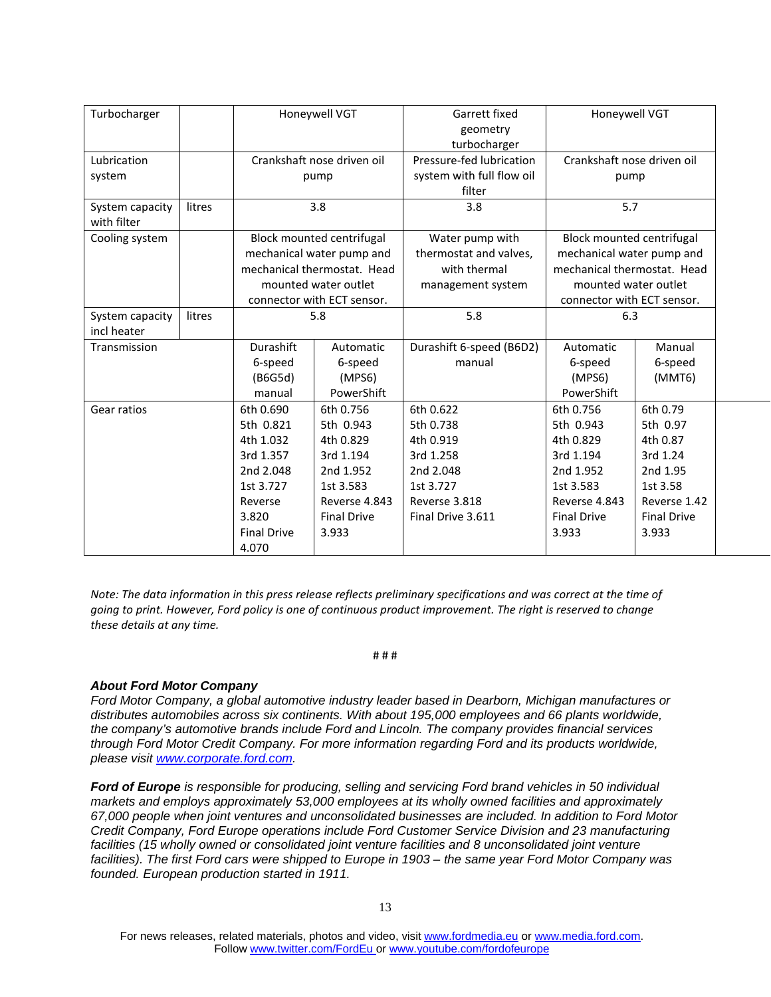| Turbocharger    |        | Honeywell VGT              |                             | Garrett fixed             | Honeywell VGT               |                    |
|-----------------|--------|----------------------------|-----------------------------|---------------------------|-----------------------------|--------------------|
|                 |        |                            |                             | geometry                  |                             |                    |
|                 |        |                            |                             | turbocharger              |                             |                    |
| Lubrication     |        |                            | Crankshaft nose driven oil  | Pressure-fed lubrication  | Crankshaft nose driven oil  |                    |
| system          |        |                            | pump                        | system with full flow oil | pump                        |                    |
|                 |        |                            |                             | filter                    |                             |                    |
| System capacity | litres |                            | 3.8                         | 3.8                       | 5.7                         |                    |
| with filter     |        |                            |                             |                           |                             |                    |
| Cooling system  |        |                            | Block mounted centrifugal   | Water pump with           | Block mounted centrifugal   |                    |
|                 |        |                            | mechanical water pump and   | thermostat and valves,    | mechanical water pump and   |                    |
|                 |        |                            | mechanical thermostat. Head | with thermal              | mechanical thermostat. Head |                    |
|                 |        | mounted water outlet       |                             | management system         | mounted water outlet        |                    |
|                 |        | connector with ECT sensor. |                             |                           | connector with ECT sensor.  |                    |
| System capacity | litres | 5.8                        |                             | 5.8                       | 6.3                         |                    |
| incl heater     |        |                            |                             |                           |                             |                    |
| Transmission    |        | Durashift                  | Automatic                   | Durashift 6-speed (B6D2)  | Automatic                   | Manual             |
|                 |        | 6-speed                    | 6-speed                     | manual                    | 6-speed                     | 6-speed            |
|                 |        | (B6G5d)                    | (MPS6)                      |                           | (MPS6)                      | (MMT6)             |
|                 |        | manual                     | PowerShift                  |                           | PowerShift                  |                    |
| Gear ratios     |        | 6th 0.690                  | 6th 0.756                   | 6th 0.622                 | 6th 0.756                   | 6th 0.79           |
|                 |        | 5th 0.821                  | 5th 0.943                   | 5th 0.738                 | 5th 0.943                   | 5th 0.97           |
|                 |        | 4th 1.032                  | 4th 0.829                   | 4th 0.919                 | 4th 0.829                   | 4th 0.87           |
|                 |        | 3rd 1.357                  | 3rd 1.194                   | 3rd 1.258                 | 3rd 1.194                   | 3rd 1.24           |
|                 |        | 2nd 2.048                  | 2nd 1.952                   | 2nd 2.048                 | 2nd 1.952                   | 2nd 1.95           |
|                 |        | 1st 3.727                  | 1st 3.583                   | 1st 3.727                 | 1st 3.583                   | 1st 3.58           |
|                 |        | Reverse                    | Reverse 4.843               | Reverse 3.818             | Reverse 4.843               | Reverse 1.42       |
|                 |        | 3.820                      | <b>Final Drive</b>          | Final Drive 3.611         | <b>Final Drive</b>          | <b>Final Drive</b> |
|                 |        | <b>Final Drive</b>         | 3.933                       |                           | 3.933                       | 3.933              |
|                 |        | 4.070                      |                             |                           |                             |                    |

*Note: The data information in this press release reflects preliminary specifications and was correct at the time of going to print. However, Ford policy is one of continuous product improvement. The right is reserved to change these details at any time.*

#### # # #

#### *About Ford Motor Company*

*Ford Motor Company, a global automotive industry leader based in Dearborn, Michigan manufactures or distributes automobiles across six continents. With about 195,000 employees and 66 plants worldwide, the company's automotive brands include Ford and Lincoln. The company provides financial services through Ford Motor Credit Company. For more information regarding Ford and its products worldwide, please visit [www.corporate.ford.com.](http://www.corporate.ford.com/)*

*Ford of Europe is responsible for producing, selling and servicing Ford brand vehicles in 50 individual markets and employs approximately 53,000 employees at its wholly owned facilities and approximately 67,000 people when joint ventures and unconsolidated businesses are included. In addition to Ford Motor Credit Company, Ford Europe operations include Ford Customer Service Division and 23 manufacturing facilities (15 wholly owned or consolidated joint venture facilities and 8 unconsolidated joint venture facilities). The first Ford cars were shipped to Europe in 1903 – the same year Ford Motor Company was founded. European production started in 1911.*